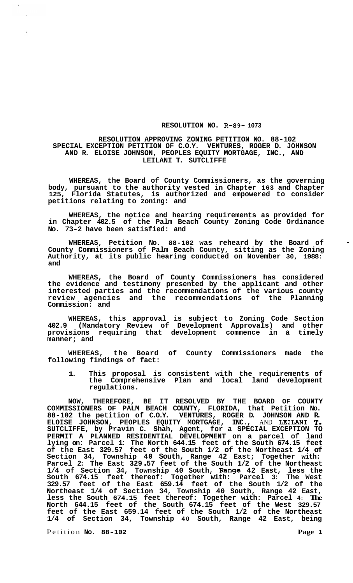## **RESOLUTION NO. R-89- 1073**

## **RESOLUTION APPROVING ZONING PETITION NO. 88-102 SPECIAL EXCEPTION PETITION OF C.O.Y. VENTURES, ROGER D. JOHNSON AND R. ELOISE JOHNSON, PEOPLES EQUITY MORTGAGE, INC., AND LEILANI T. SUTCLIFFE**

**WHEREAS, the Board of County Commissioners, as the governing body, pursuant to the authority vested in Chapter 163 and Chapter 125, Florida Statutes, is authorized and empowered to consider petitions relating to zoning: and** 

**WHEREAS, the notice and hearing requirements as provided for in Chapter 402.5 of the Palm Beach County Zoning Code Ordinance No. 73-2 have been satisfied: and** 

**WHEREAS, Petition No. 88-102 was reheard by the Board of County Commissioners of Palm Beach County, sitting as the Zoning Authority, at its public hearing conducted on November 30, 1988: and** 

**WHEREAS, the Board of County Commissioners has considered the evidence and testimony presented by the applicant and other interested parties and the recommendations of the various county review agencies and the recommendations of the Planning Commission: and** 

**WHEREAS, this approval is subject to Zoning Code Section 402.9 (Mandatory Review of Development Approvals) and other provisions requiring that development commence in a timely manner; and** 

**WHEREAS, the Board of County Commissioners made the following findings of fact:** 

**1. This proposal is consistent with the requirements of the Comprehensive Plan and local land development regulations.** 

**NOW, THEREFORE, BE IT RESOLVED BY THE BOARD OF COUNTY COMMISSIONERS OF PALM BEACH COUNTY, FLORIDA, that Petition No. 88-102 the petition of C.O.Y. VENTURES, ROGER D. JOHNSON AND R. ELOISE JOHNSON, PEOPLES EQUITY MORTGAGE, INC.,** AND **LEILANI T. SUTCLIFFE, by Pravin C. Shah, Agent, for a SPECIAL EXCEPTION TO PERMIT A PLANNED RESIDENTIAL DEVELOPMENT on a parcel of land lying on: Parcel 1: The North 644.15 feet of the South 674.15 feet of the East 329.57 feet of the South 1/2 of the Northeast 1/4 of**  Section 34, Township 40 South, Range 42 East; Together with:<br>Parcel 2: The East 329 57 feet of the South 1/2 of the Northeast **1/4 of Section 34, Township 40 South, Range 42 East, less the South 674.15 feet thereof: Together with: Parcel 3: The West 329.57 feet of the East 659.14 feet of the South 1/2 of the Northeast 1/4 of Section 34, Township 40 South, Range 42 East, less the South 674.15 feet thereof: Together with: Parcel 4: The North 644.15 feet of the South 674.15 feet of the West 329.57 feet of the East 659.14 feet of the South 1/2 of the Northeast 1/4 of Section 34, Township 40 South, Range 42 East, being** 

Petition **No. 88-102 Page 1** 

**I**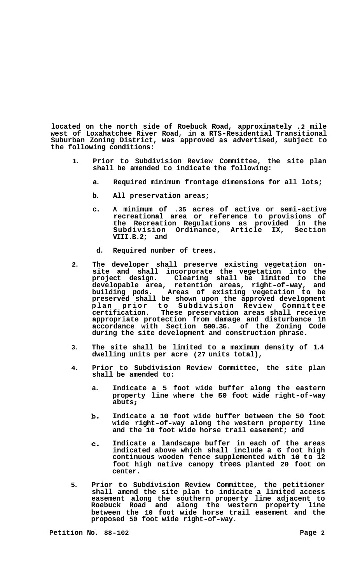**located on the north side of Roebuck Road, approximately .2 mile west of Loxahatchee River Road, in a RTS-Residential Transitional Suburban Zoning District, was approved as advertised, subject to the following conditions:** 

- **1. Prior to Subdivision Review Committee, the site plan shall be amended to indicate the following:** 
	- **a. Required minimum frontage dimensions for all lots;**
	- **b. All preservation areas;**
	- **c. A minimum of .35 acres of active or semi-active recreational area or reference to provisions of the Recreation Regulations as provided in the Subdivision Ordinance, Article IX, Section VIII.B.2; and**
	- **d. Required number of trees.**
- **2. The developer shall preserve existing vegetation on- site and shall incorporate the vegetation into the pro j ect design. Clearing shall be limited to the developable area, retention areas, right-of-way, and building pods. Areas of existing vegetation to be preserved shall be shown upon the approved development plan prior to Subdivision Review Committee certification. These preservation areas shall receive appropriate protection from damage and disturbance in accordance with Section 500.36. of the Zoning Code during the site development and construction phrase.**
- **3. The site shall be limited to a maximum density of 1.4 dwelling units per acre (27 units total),**
- **4. Prior to Subdivision Review Committee, the site plan shall be amended to:** 
	- **a. Indicate a 5 foot wide buffer along the eastern property line where the 50 foot wide right-of-way abuts** ;
	- **b. Indicate a 10 foot wide buffer between the 50 foot wide right-of-way along the western property line and the 10 foot wide horse trail easement; and**
	- **c. Indicate a landscape buffer in each of the areas indicated above which shall include a 6 foot high continuous wooden fence supplemented with 10 to 12 foot high native canopy trees planted 20 foot on center.**
- **5. Prior to Subdivision Review Committee, the petitioner shall amend the site plan to indicate a limited access easement along the southern property line adjacent to Roebuck Road and along the western property line between the 10 foot wide horse trail easement and the proposed 50 foot wide right-of-way.**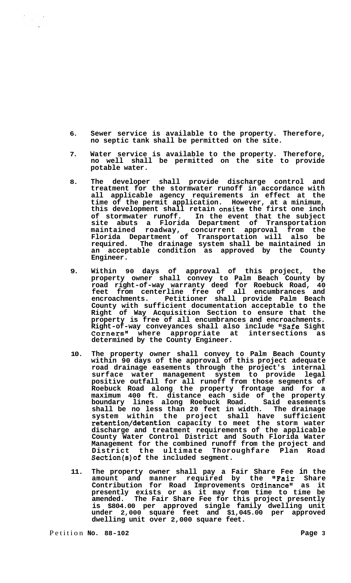- **6. Sewer service is available to the property. Therefore, no septic tank shall be permitted on the site.**
- **7. Water service is available to the property. Therefore, no well shall be permitted on the site to provide potable water.**
- **8. The developer shall provide discharge control and treatment for the stormwater runoff in accordance with all applicable agency requirements in effect at the time of the permit application. However, at a minimum, this development shall retain onsite the first one inch of stormwater runoff. In the event that the subject site abuts a Florida Department of Transportation maintained roadway, concurrent approval from the Florida Department of Transportation will also be required. The drainage system shall be maintained in an acceptable condition as approved by the County Engineer.**
- **9. Within 90 days of approval of this project, the property owner shall convey to Palm Beach County by road right-of-way warranty deed for Roebuck Road, 40 feet from centerline free of all encumbrances and encroachments. Petitioner shall provide Palm Beach County with sufficient documentation acceptable to the Right of Way Acquisition Section to ensure that the property is free of all encumbrances and encroachments. Right-of-way conveyances shall also include "Safe Sight Cornersn1 where appropriate at intersections as determined by the County Engineer.**
- **10. The property owner shall convey to Palm Beach County within 90 days of the approval of this project adequate road drainage easements through the project's internal surface water management system to provide legal positive outfall for all runoff from those segments of Roebuck Road along the property frontage and for a maximum 400 ft. distance each side of the property boundary lines along Roebuck Road. Said easements shall be no less than 20 feet in width. The drainage system within the project shall have sufficient retention/detention capacity to meet the storm water discharge and treatment requirements of the applicable County Water Control District and South Florida Water Management for the combined runoff from the project and District the ultimate Thoroughfare Plan Road Section(s)of the included segment.**
- **11. The property owner shall pay a Fair Share Fee in the amount and manner required by the #\*Pair Share Contribution for Road Improvements Ordinance" as it presently exists or as it may from time to time be amended. The Fair Share Fee for this project presently is \$804.00 per approved single family dwelling unit under 2,000 square feet and \$1,045.00 per approved dwelling unit over 2,000 square feet.**

 $\label{eq:2.1} \frac{d\mathcal{L}}{d\mathcal{L}} = \frac{1}{2\pi\epsilon_0} \frac{d\mathcal{L}}{d\mathcal{L}} \frac{d\mathcal{L}}{d\mathcal{L}} \frac{d\mathcal{L}}{d\mathcal{L}}$